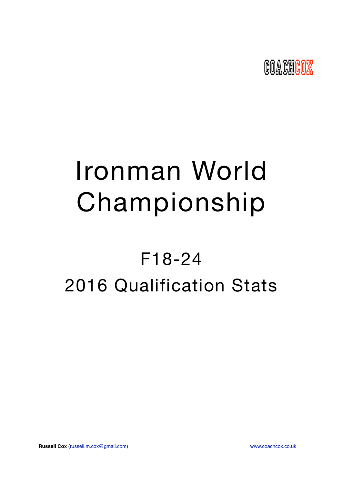

# Ironman World Championship

## F18-24 2016 Qualification Stats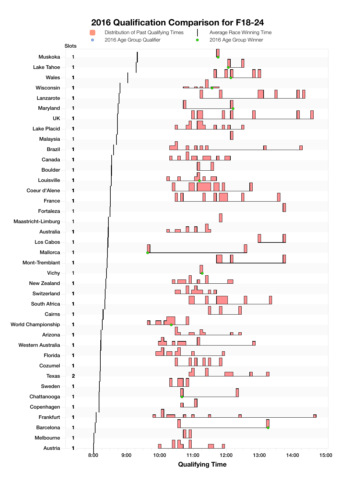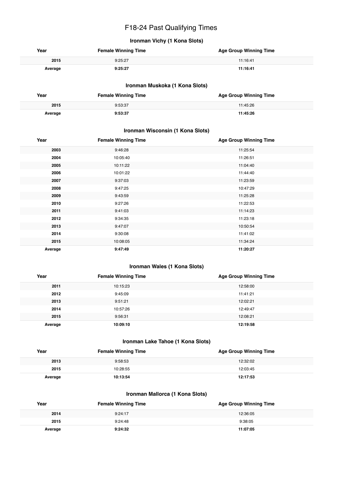## F18-24 Past Qualifying Times

## **Ironman Vichy (1 Kona Slots)**

| Year    | <b>Female Winning Time</b> | <b>Age Group Winning Time</b> |
|---------|----------------------------|-------------------------------|
| 2015    | 9:25:27                    | 11:16:41                      |
| Average | 9:25:27                    | 11:16:41                      |

#### **Ironman Muskoka (1 Kona Slots)**

| Year    | <b>Female Winning Time</b> | <b>Age Group Winning Time</b> |
|---------|----------------------------|-------------------------------|
| 2015    | 9:53:37                    | 11:45:26                      |
| Average | 9:53:37                    | 11:45:26                      |

#### **Ironman Wisconsin (1 Kona Slots)**

| Year    | <b>Female Winning Time</b> | <b>Age Group Winning Time</b> |
|---------|----------------------------|-------------------------------|
| 2003    | 9:46:28                    | 11:25:54                      |
| 2004    | 10:05:40                   | 11:26:51                      |
| 2005    | 10:11:22                   | 11:04:40                      |
| 2006    | 10:01:22                   | 11:44:40                      |
| 2007    | 9:37:03                    | 11:23:59                      |
| 2008    | 9:47:25                    | 10:47:29                      |
| 2009    | 9:43:59                    | 11:25:28                      |
| 2010    | 9:27:26                    | 11:22:53                      |
| 2011    | 9:41:03                    | 11:14:23                      |
| 2012    | 9:34:35                    | 11:23:18                      |
| 2013    | 9:47:07                    | 10:50:54                      |
| 2014    | 9:30:08                    | 11:41:02                      |
| 2015    | 10:08:05                   | 11:34:24                      |
| Average | 9:47:49                    | 11:20:27                      |

#### **Ironman Wales (1 Kona Slots)**

| Year    | <b>Female Winning Time</b> | <b>Age Group Winning Time</b> |
|---------|----------------------------|-------------------------------|
| 2011    | 10:15:23                   | 12:58:00                      |
| 2012    | 9:45:09                    | 11:41:21                      |
| 2013    | 9:51:21                    | 12:02:21                      |
| 2014    | 10:57:26                   | 12:49:47                      |
| 2015    | 9:56:31                    | 12:08:21                      |
| Average | 10:09:10                   | 12:19:58                      |

#### **Ironman Lake Tahoe (1 Kona Slots)**

| Year    | <b>Female Winning Time</b> | <b>Age Group Winning Time</b> |
|---------|----------------------------|-------------------------------|
| 2013    | 9:58:53                    | 12:32:02                      |
| 2015    | 10:28:55                   | 12:03:45                      |
| Average | 10:13:54                   | 12:17:53                      |

### **Ironman Mallorca (1 Kona Slots)**

| Year    | <b>Female Winning Time</b> | <b>Age Group Winning Time</b> |
|---------|----------------------------|-------------------------------|
| 2014    | 9:24:17                    | 12:36:05                      |
| 2015    | 9:24:48                    | 9:38:05                       |
| Average | 9:24:32                    | 11:07:05                      |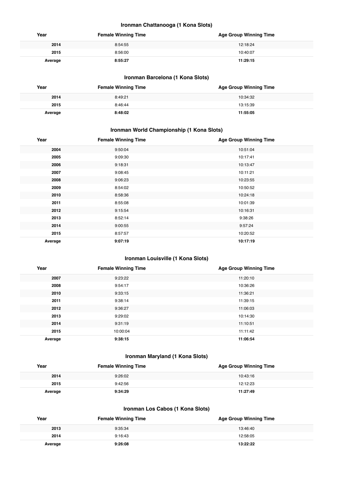#### **Ironman Chattanooga (1 Kona Slots)**

| Year    | <b>Female Winning Time</b> | <b>Age Group Winning Time</b> |
|---------|----------------------------|-------------------------------|
| 2014    | 8:54:55                    | 12:18:24                      |
| 2015    | 8:56:00                    | 10:40:07                      |
| Average | 8:55:27                    | 11:29:15                      |

## **Ironman Barcelona (1 Kona Slots)**

| Year    | <b>Female Winning Time</b> | <b>Age Group Winning Time</b> |
|---------|----------------------------|-------------------------------|
| 2014    | 8:49:21                    | 10:34:32                      |
| 2015    | 8:46:44                    | 13:15:39                      |
| Average | 8:48:02                    | 11:55:05                      |

## **Ironman World Championship (1 Kona Slots)**

| Year    | <b>Female Winning Time</b> | <b>Age Group Winning Time</b> |
|---------|----------------------------|-------------------------------|
| 2004    | 9:50:04                    | 10:51:04                      |
| 2005    | 9:09:30                    | 10:17:41                      |
| 2006    | 9:18:31                    | 10:13:47                      |
| 2007    | 9:08:45                    | 10:11:21                      |
| 2008    | 9:06:23                    | 10:23:55                      |
| 2009    | 8:54:02                    | 10:50:52                      |
| 2010    | 8:58:36                    | 10:24:18                      |
| 2011    | 8:55:08                    | 10:01:39                      |
| 2012    | 9:15:54                    | 10:16:31                      |
| 2013    | 8:52:14                    | 9:38:26                       |
| 2014    | 9:00:55                    | 9:57:24                       |
| 2015    | 8:57:57                    | 10:20:52                      |
| Average | 9:07:19                    | 10:17:19                      |

### **Ironman Louisville (1 Kona Slots)**

| Year    | <b>Female Winning Time</b> | <b>Age Group Winning Time</b> |
|---------|----------------------------|-------------------------------|
| 2007    | 9:23:22                    | 11:20:10                      |
| 2008    | 9:54:17                    | 10:36:26                      |
| 2010    | 9:33:15                    | 11:36:21                      |
| 2011    | 9:38:14                    | 11:39:15                      |
| 2012    | 9:36:27                    | 11:06:03                      |
| 2013    | 9:29:02                    | 10:14:30                      |
| 2014    | 9:31:19                    | 11:10:51                      |
| 2015    | 10:00:04                   | 11:11:42                      |
| Average | 9:38:15                    | 11:06:54                      |

## **Ironman Maryland (1 Kona Slots)**

| Year    | <b>Female Winning Time</b> | <b>Age Group Winning Time</b> |
|---------|----------------------------|-------------------------------|
| 2014    | 9:26:02                    | 10:43:16                      |
| 2015    | 9:42:56                    | 12:12:23                      |
| Average | 9:34:29                    | 11:27:49                      |

## **Ironman Los Cabos (1 Kona Slots)**

| Year    | <b>Female Winning Time</b> | <b>Age Group Winning Time</b> |
|---------|----------------------------|-------------------------------|
| 2013    | 9:35:34                    | 13:46:40                      |
| 2014    | 9:16:43                    | 12:58:05                      |
| Average | 9:26:08                    | 13:22:22                      |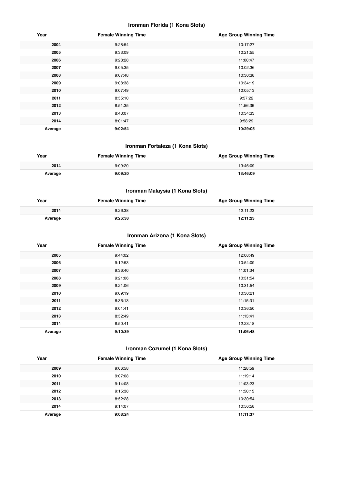#### **Ironman Florida (1 Kona Slots)**

| Year    | <b>Female Winning Time</b> | <b>Age Group Winning Time</b> |
|---------|----------------------------|-------------------------------|
| 2004    | 9:28:54                    | 10:17:27                      |
| 2005    | 9:33:09                    | 10:21:55                      |
| 2006    | 9:28:28                    | 11:00:47                      |
| 2007    | 9:05:35                    | 10:02:36                      |
| 2008    | 9:07:48                    | 10:30:38                      |
| 2009    | 9:08:38                    | 10:34:19                      |
| 2010    | 9:07:49                    | 10:05:13                      |
| 2011    | 8:55:10                    | 9:57:22                       |
| 2012    | 8:51:35                    | 11:56:36                      |
| 2013    | 8:43:07                    | 10:34:33                      |
| 2014    | 8:01:47                    | 9:58:29                       |
| Average | 9:02:54                    | 10:29:05                      |

#### **Ironman Fortaleza (1 Kona Slots)**

| Year    | <b>Female Winning Time</b> | <b>Age Group Winning Time</b> |
|---------|----------------------------|-------------------------------|
| 2014    | 9:09:20                    | 13:46:09                      |
| Average | 9:09:20                    | 13:46:09                      |

## **Ironman Malaysia (1 Kona Slots)**

| Year    | <b>Female Winning Time</b> | <b>Age Group Winning Time</b> |
|---------|----------------------------|-------------------------------|
| 2014    | 9:26:38                    | 12:11:23                      |
| Average | 9:26:38                    | 12:11:23                      |

## **Ironman Arizona (1 Kona Slots)**

| Year    | <b>Female Winning Time</b> | <b>Age Group Winning Time</b> |
|---------|----------------------------|-------------------------------|
| 2005    | 9:44:02                    | 12:08:49                      |
| 2006    | 9:12:53                    | 10:54:09                      |
| 2007    | 9:36:40                    | 11:01:34                      |
| 2008    | 9:21:06                    | 10:31:54                      |
| 2009    | 9:21:06                    | 10:31:54                      |
| 2010    | 9:09:19                    | 10:30:21                      |
| 2011    | 8:36:13                    | 11:15:31                      |
| 2012    | 9:01:41                    | 10:36:50                      |
| 2013    | 8:52:49                    | 11:13:41                      |
| 2014    | 8:50:41                    | 12:23:18                      |
| Average | 9:10:39                    | 11:06:48                      |

## **Ironman Cozumel (1 Kona Slots)**

| Year    | <b>Female Winning Time</b> | <b>Age Group Winning Time</b> |
|---------|----------------------------|-------------------------------|
| 2009    | 9:06:58                    | 11:28:59                      |
| 2010    | 9:07:08                    | 11:19:14                      |
| 2011    | 9:14:08                    | 11:03:23                      |
| 2012    | 9:15:38                    | 11:50:15                      |
| 2013    | 8:52:28                    | 10:30:54                      |
| 2014    | 9:14:07                    | 10:56:58                      |
| Average | 9:08:24                    | 11:11:37                      |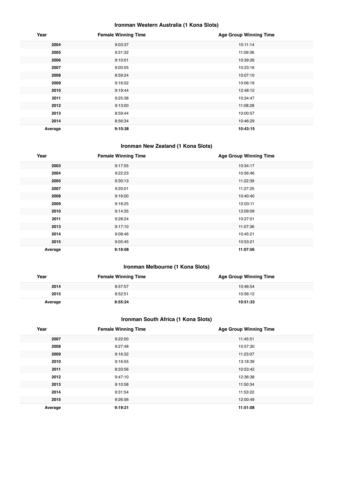## **Ironman Western Australia (1 Kona Slots)**

| Year    | <b>Female Winning Time</b> | <b>Age Group Winning Time</b> |
|---------|----------------------------|-------------------------------|
| 2004    | 9:03:37                    | 10:11:14                      |
| 2005    | 9:31:32                    | 11:09:36                      |
| 2006    | 9:10:01                    | 10:39:26                      |
| 2007    | 9:00:55                    | 10:23:16                      |
| 2008    | 8:59:24                    | 10:07:10                      |
| 2009    | 9:16:52                    | 10:06:19                      |
| 2010    | 9:19:44                    | 12:48:12                      |
| 2011    | 9:25:38                    | 10:34:47                      |
| 2012    | 9:13:00                    | 11:08:28                      |
| 2013    | 8:59:44                    | 10:00:57                      |
| 2014    | 8:56:34                    | 10:46:29                      |
| Average | 9:10:38                    | 10:43:15                      |

## **Ironman New Zealand (1 Kona Slots)**

| Year    | <b>Female Winning Time</b> | <b>Age Group Winning Time</b> |
|---------|----------------------------|-------------------------------|
| 2003    | 9:17:55                    | 10:34:17                      |
| 2004    | 9:22:23                    | 10:56:46                      |
| 2005    | 9:30:13                    | 11:22:39                      |
| 2007    | 9:20:01                    | 11:27:25                      |
| 2008    | 9:16:00                    | 10:40:40                      |
| 2009    | 9:18:25                    | 12:03:11                      |
| 2010    | 9:14:35                    | 12:09:09                      |
| 2011    | 9:28:24                    | 10:27:01                      |
| 2013    | 9:17:10                    | 11:07:36                      |
| 2014    | 9:08:46                    | 10:45:21                      |
| 2015    | 9:05:45                    | 10:53:21                      |
| Average | 9:18:08                    | 11:07:56                      |

## **Ironman Melbourne (1 Kona Slots)**

| Year    | <b>Female Winning Time</b> | <b>Age Group Winning Time</b> |
|---------|----------------------------|-------------------------------|
| 2014    | 8:57:57                    | 10:46:54                      |
| 2015    | 8:52:51                    | 10:56:12                      |
| Average | 8:55:24                    | 10:51:33                      |

## **Ironman South Africa (1 Kona Slots)**

| Year    | <b>Female Winning Time</b> | <b>Age Group Winning Time</b> |
|---------|----------------------------|-------------------------------|
| 2007    | 9:22:00                    | 11:45:51                      |
| 2008    | 9:27:48                    | 10:57:30                      |
| 2009    | 9:16:32                    | 11:23:07                      |
| 2010    | 9:16:55                    | 13:18:39                      |
| 2011    | 8:33:56                    | 10:53:42                      |
| 2012    | 9:47:10                    | 12:36:38                      |
| 2013    | 9:10:58                    | 11:50:34                      |
| 2014    | 9:31:54                    | 11:53:22                      |
| 2015    | 9:26:56                    | 12:00:49                      |
| Average | 9:19:21                    | 11:51:08                      |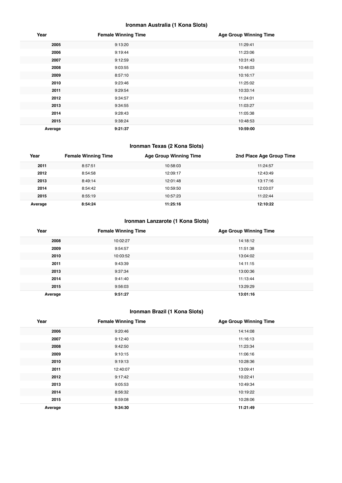## **Ironman Australia (1 Kona Slots)**

| Year    | <b>Female Winning Time</b> | <b>Age Group Winning Time</b> |
|---------|----------------------------|-------------------------------|
| 2005    | 9:13:20                    | 11:29:41                      |
| 2006    | 9:19:44                    | 11:23:06                      |
| 2007    | 9:12:59                    | 10:31:43                      |
| 2008    | 9:03:55                    | 10:48:03                      |
| 2009    | 8:57:10                    | 10:16:17                      |
| 2010    | 9:23:46                    | 11:25:02                      |
| 2011    | 9:29:54                    | 10:33:14                      |
| 2012    | 9:34:57                    | 11:24:01                      |
| 2013    | 9:34:55                    | 11:03:27                      |
| 2014    | 9:28:43                    | 11:05:38                      |
| 2015    | 9:38:24                    | 10:48:53                      |
| Average | 9:21:37                    | 10:59:00                      |

## **Ironman Texas (2 Kona Slots)**

| Year    | <b>Female Winning Time</b> | <b>Age Group Winning Time</b> | 2nd Place Age Group Time |
|---------|----------------------------|-------------------------------|--------------------------|
| 2011    | 8:57:51                    | 10:58:03                      | 11:24:57                 |
| 2012    | 8:54:58                    | 12:09:17                      | 12:43:49                 |
| 2013    | 8:49:14                    | 12:01:48                      | 13:17:16                 |
| 2014    | 8:54:42                    | 10:59:50                      | 12:03:07                 |
| 2015    | 8:55:19                    | 10:57:23                      | 11:22:44                 |
| Average | 8:54:24                    | 11:25:16                      | 12:10:22                 |

## **Ironman Lanzarote (1 Kona Slots)**

| Year    | <b>Female Winning Time</b> | <b>Age Group Winning Time</b> |
|---------|----------------------------|-------------------------------|
| 2008    | 10:02:27                   | 14:18:12                      |
| 2009    | 9:54:57                    | 11:51:38                      |
| 2010    | 10:03:52                   | 13:04:02                      |
| 2011    | 9:43:39                    | 14:11:15                      |
| 2013    | 9:37:34                    | 13:00:36                      |
| 2014    | 9:41:40                    | 11:13:44                      |
| 2015    | 9:56:03                    | 13:29:29                      |
| Average | 9:51:27                    | 13:01:16                      |

## **Ironman Brazil (1 Kona Slots)**

| Year    | <b>Female Winning Time</b> | <b>Age Group Winning Time</b> |
|---------|----------------------------|-------------------------------|
| 2006    | 9:20:46                    | 14:14:08                      |
| 2007    | 9:12:40                    | 11:16:13                      |
| 2008    | 9:42:50                    | 11:23:34                      |
| 2009    | 9:10:15                    | 11:06:16                      |
| 2010    | 9:19:13                    | 10:28:36                      |
| 2011    | 12:40:07                   | 13:09:41                      |
| 2012    | 9:17:42                    | 10:22:41                      |
| 2013    | 9:05:53                    | 10:49:34                      |
| 2014    | 8:56:32                    | 10:19:22                      |
| 2015    | 8:59:08                    | 10:28:06                      |
| Average | 9:34:30                    | 11:21:49                      |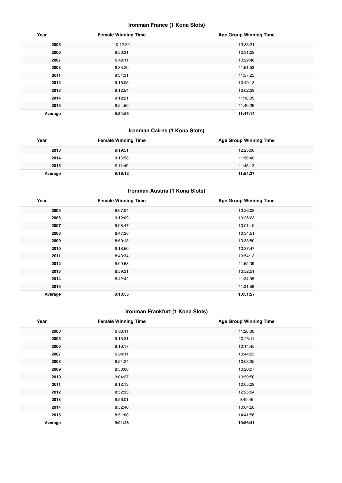#### **Ironman France (1 Kona Slots)**

| Year    | <b>Female Winning Time</b> | <b>Age Group Winning Time</b> |
|---------|----------------------------|-------------------------------|
| 2005    | 10:12:29                   | 13:33:21                      |
| 2006    | 9:56:31                    | 12:31:29                      |
| 2007    | 9:49:11                    | 10:29:46                      |
| 2008    | 9:35:29                    | 11:51:53                      |
| 2011    | 9:34:31                    | 11:57:25                      |
| 2012    | 9:16:05                    | 10:40:13                      |
| 2013    | 9:12:54                    | 12:02:29                      |
| 2014    | 9:12:21                    | 11:18:05                      |
| 2015    | 9:24:50                    | 11:40:26                      |
| Average | 9:34:55                    | 11:47:14                      |

## **Ironman Cairns (1 Kona Slots)**

| Year    | <b>Female Winning Time</b> | <b>Age Group Winning Time</b> |
|---------|----------------------------|-------------------------------|
| 2013    | 9:19:51                    | 12:25:00                      |
| 2014    | 9:16:58                    | 11:30:40                      |
| 2015    | 9:11:49                    | 11:48:13                      |
| Average | 9:16:12                    | 11:54:37                      |

## **Ironman Austria (1 Kona Slots)**

| Year    | <b>Female Winning Time</b> | <b>Age Group Winning Time</b> |
|---------|----------------------------|-------------------------------|
| 2005    | 9:07:04                    | 10:26:08                      |
| 2006    | 9:12:09                    | 10:26:23                      |
| 2007    | 9:08:47                    | 10:01:19                      |
| 2008    | 8:47:26                    | 10:34:51                      |
| 2009    | 8:50:13                    | 10:33:50                      |
| 2010    | 9:18:50                    | 10:37:47                      |
| 2011    | 8:43:34                    | 10:54:13                      |
| 2012    | 9:09:58                    | 11:52:39                      |
| 2013    | 8:59:31                    | 10:52:51                      |
| 2014    | 8:42:42                    | 11:34:05                      |
| 2015    |                            | 11:31:58                      |
| Average | 8:10:55                    | 10:51:27                      |

## **Ironman Frankfurt (1 Kona Slots)**

| Year    | <b>Female Winning Time</b> | <b>Age Group Winning Time</b> |
|---------|----------------------------|-------------------------------|
| 2003    | 9:03:11                    | 11:28:00                      |
| 2005    | 9:15:31                    | 10:23:11                      |
| 2006    | 9:16:17                    | 10:14:45                      |
| 2007    | 9:04:11                    | 10:44:05                      |
| 2008    | 8:51:24                    | 10:03:35                      |
| 2009    | 8:58:08                    | 10:20:07                      |
| 2010    | 9:04:27                    | 10:59:50                      |
| 2011    | 9:12:13                    | 10:05:29                      |
| 2012    | 8:52:33                    | 12:25:04                      |
| 2013    | 8:56:01                    | 9:49:46                       |
| 2014    | 8:52:40                    | 10:04:28                      |
| 2015    | 8:51:00                    | 14:41:56                      |
| Average | 9:01:28                    | 10:56:41                      |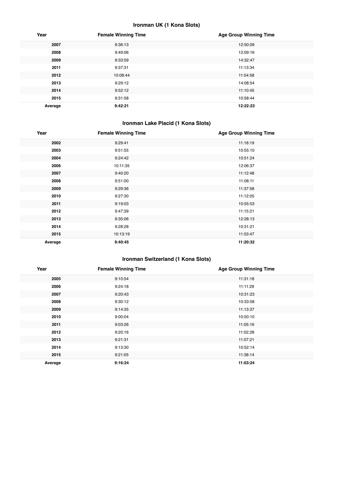## **Ironman UK (1 Kona Slots)**

| Year    | <b>Female Winning Time</b> | <b>Age Group Winning Time</b> |
|---------|----------------------------|-------------------------------|
| 2007    | 9:36:13                    | 12:50:09                      |
| 2008    | 9:49:06                    | 12:09:16                      |
| 2009    | 9:33:59                    | 14:32:47                      |
| 2011    | 9:37:31                    | 11:13:34                      |
| 2012    | 10:08:44                   | 11:54:58                      |
| 2013    | 9:29:12                    | 14:08:54                      |
| 2014    | 9:52:12                    | 11:10:45                      |
| 2015    | 9:31:58                    | 10:58:44                      |
| Average | 9:42:21                    | 12:22:23                      |

## **Ironman Lake Placid (1 Kona Slots)**

| Year    | <b>Female Winning Time</b> | <b>Age Group Winning Time</b> |
|---------|----------------------------|-------------------------------|
| 2002    | 9:29:41                    | 11:18:19                      |
| 2003    | 9:51:55                    | 10:55:10                      |
| 2004    | 9:24:42                    | 10:51:24                      |
| 2006    | 10:11:35                   | 12:06:37                      |
| 2007    | 9:40:20                    | 11:12:48                      |
| 2008    | 9:51:00                    | 11:08:11                      |
| 2009    | 9:29:36                    | 11:37:58                      |
| 2010    | 9:27:30                    | 11:12:05                      |
| 2011    | 9:19:03                    | 10:55:53                      |
| 2012    | 9:47:39                    | 11:15:21                      |
| 2013    | 9:35:06                    | 12:28:13                      |
| 2014    | 9:28:28                    | 10:31:21                      |
| 2015    | 10:13:19                   | 11:53:47                      |
| Average | 9:40:45                    | 11:20:32                      |

## **Ironman Switzerland (1 Kona Slots)**

| Year    | <b>Female Winning Time</b> | <b>Age Group Winning Time</b> |
|---------|----------------------------|-------------------------------|
| 2005    | 9:10:54                    | 11:31:18                      |
| 2006    | 9:24:18                    | 11:11:29                      |
| 2007    | 9:20:43                    | 10:31:23                      |
| 2008    | 9:30:12                    | 10:33:58                      |
| 2009    | 9:14:35                    | 11:13:37                      |
| 2010    | 9:00:04                    | 10:50:10                      |
| 2011    | 9:03:26                    | 11:05:16                      |
| 2012    | 9:20:16                    | 11:02:28                      |
| 2013    | 9:21:31                    | 11:07:21                      |
| 2014    | 9:13:30                    | 10:52:14                      |
| 2015    | 9:21:05                    | 11:38:14                      |
| Average | 9:16:24                    | 11:03:24                      |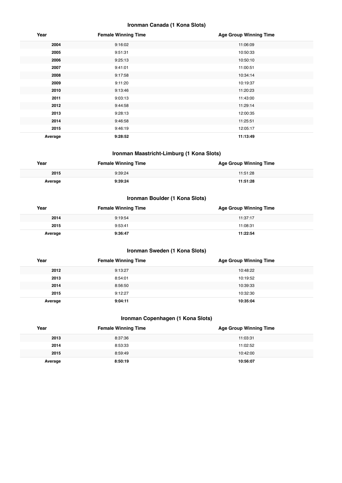## **Ironman Canada (1 Kona Slots)**

| Year    | <b>Female Winning Time</b> | <b>Age Group Winning Time</b> |
|---------|----------------------------|-------------------------------|
| 2004    | 9:16:02                    | 11:06:09                      |
| 2005    | 9:51:31                    | 10:50:33                      |
| 2006    | 9:25:13                    | 10:50:10                      |
| 2007    | 9:41:01                    | 11:00:51                      |
| 2008    | 9:17:58                    | 10:34:14                      |
| 2009    | 9:11:20                    | 10:19:37                      |
| 2010    | 9:13:46                    | 11:20:23                      |
| 2011    | 9:03:13                    | 11:43:00                      |
| 2012    | 9:44:58                    | 11:29:14                      |
| 2013    | 9:28:13                    | 12:00:35                      |
| 2014    | 9:46:58                    | 11:25:51                      |
| 2015    | 9:46:19                    | 12:05:17                      |
| Average | 9:28:52                    | 11:13:49                      |

#### **Ironman Maastricht-Limburg (1 Kona Slots)**

| Year    | <b>Female Winning Time</b> | <b>Age Group Winning Time</b> |
|---------|----------------------------|-------------------------------|
| 2015    | 9:39:24                    | 11:51:28                      |
| Average | 9:39:24                    | 11:51:28                      |

## **Ironman Boulder (1 Kona Slots)**

| Year    | <b>Female Winning Time</b> | <b>Age Group Winning Time</b> |
|---------|----------------------------|-------------------------------|
| 2014    | 9:19:54                    | 11:37:17                      |
| 2015    | 9:53:41                    | 11:08:31                      |
| Average | 9:36:47                    | 11:22:54                      |

## **Ironman Sweden (1 Kona Slots)**

| Year    | <b>Female Winning Time</b> | <b>Age Group Winning Time</b> |
|---------|----------------------------|-------------------------------|
| 2012    | 9:13:27                    | 10:48:22                      |
| 2013    | 8:54:01                    | 10:19:52                      |
| 2014    | 8:56:50                    | 10:39:33                      |
| 2015    | 9:12:27                    | 10:32:30                      |
| Average | 9:04:11                    | 10:35:04                      |

## **Ironman Copenhagen (1 Kona Slots)**

| Year    | <b>Female Winning Time</b> | <b>Age Group Winning Time</b> |
|---------|----------------------------|-------------------------------|
| 2013    | 8:37:36                    | 11:03:31                      |
| 2014    | 8:53:33                    | 11:02:52                      |
| 2015    | 8:59:49                    | 10:42:00                      |
| Average | 8:50:19                    | 10:56:07                      |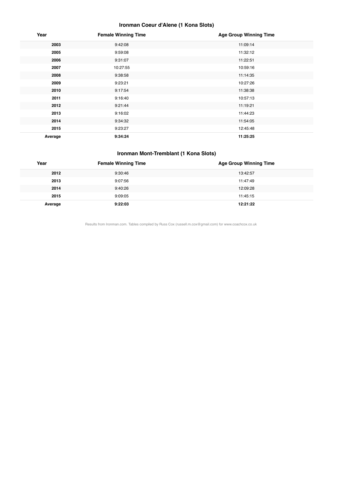## **Ironman Coeur d'Alene (1 Kona Slots)**

| Year    | <b>Female Winning Time</b> | <b>Age Group Winning Time</b> |
|---------|----------------------------|-------------------------------|
| 2003    | 9:42:08                    | 11:09:14                      |
| 2005    | 9:59:08                    | 11:32:12                      |
| 2006    | 9:31:07                    | 11:22:51                      |
| 2007    | 10:27:55                   | 10:59:16                      |
| 2008    | 9:38:58                    | 11:14:35                      |
| 2009    | 9:23:21                    | 10:27:26                      |
| 2010    | 9:17:54                    | 11:38:38                      |
| 2011    | 9:16:40                    | 10:57:13                      |
| 2012    | 9:21:44                    | 11:19:21                      |
| 2013    | 9:16:02                    | 11:44:23                      |
| 2014    | 9:34:32                    | 11:54:05                      |
| 2015    | 9:23:27                    | 12:45:48                      |
| Average | 9:34:24                    | 11:25:25                      |

#### **Ironman Mont-Tremblant (1 Kona Slots)**

| Year    | <b>Female Winning Time</b> | <b>Age Group Winning Time</b> |
|---------|----------------------------|-------------------------------|
| 2012    | 9:30:46                    | 13:42:57                      |
| 2013    | 9:07:56                    | 11:47:49                      |
| 2014    | 9:40:26                    | 12:09:28                      |
| 2015    | 9:09:05                    | 11:45:15                      |
| Average | 9:22:03                    | 12:21:22                      |

Results from Ironman.com. Tables compiled by Russ Cox (russell.m.cox@gmail.com) for www.coachcox.co.uk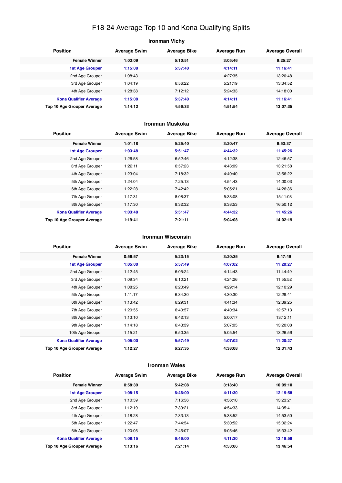## F18-24 Average Top 10 and Kona Qualifying Splits

| Ironman Vichy                 |                     |                     |                    |                        |  |
|-------------------------------|---------------------|---------------------|--------------------|------------------------|--|
| <b>Position</b>               | <b>Average Swim</b> | <b>Average Bike</b> | <b>Average Run</b> | <b>Average Overall</b> |  |
| <b>Female Winner</b>          | 1:03:09             | 5:10:51             | 3:05:46            | 9:25:27                |  |
| <b>1st Age Grouper</b>        | 1:15:08             | 5:37:40             | 4:14:11            | 11:16:41               |  |
| 2nd Age Grouper               | 1:08:43             |                     | 4:27:35            | 13:20:48               |  |
| 3rd Age Grouper               | 1:04:19             | 6:56:22             | 5:21:19            | 13:34:52               |  |
| 4th Age Grouper               | 1:28:38             | 7:12:12             | 5:24:33            | 14:18:00               |  |
| <b>Kona Qualifier Average</b> | 1:15:08             | 5:37:40             | 4:14:11            | 11:16:41               |  |
| Top 10 Age Grouper Average    | 1:14:12             | 4:56:33             | 4:51:54            | 13:07:35               |  |

#### **Ironman Muskoka**

| <b>Position</b>               | <b>Average Swim</b> | <b>Average Bike</b> | <b>Average Run</b> | <b>Average Overall</b> |
|-------------------------------|---------------------|---------------------|--------------------|------------------------|
| <b>Female Winner</b>          | 1:01:18             | 5:25:40             | 3:20:47            | 9:53:37                |
| <b>1st Age Grouper</b>        | 1:03:48             | 5:51:47             | 4:44:32            | 11:45:26               |
| 2nd Age Grouper               | 1:26:58             | 6:52:46             | 4:12:38            | 12:46:57               |
| 3rd Age Grouper               | 1:22:11             | 6:57:23             | 4:43:09            | 13:21:58               |
| 4th Age Grouper               | 1:23:04             | 7:18:32             | 4:40:40            | 13:56:22               |
| 5th Age Grouper               | 1:24:04             | 7:25:13             | 4:54:43            | 14:00:03               |
| 6th Age Grouper               | 1:22:28             | 7:42:42             | 5:05:21            | 14:26:36               |
| 7th Age Grouper               | 1:17:31             | 8:08:37             | 5:33:08            | 15:11:03               |
| 8th Age Grouper               | 1:17:30             | 8:32:32             | 6:38:53            | 16:50:12               |
| <b>Kona Qualifier Average</b> | 1:03:48             | 5:51:47             | 4:44:32            | 11:45:26               |
| Top 10 Age Grouper Average    | 1:19:41             | 7:21:11             | 5:04:08            | 14:02:19               |

#### **Ironman Wisconsin**

| <b>Position</b>               | <b>Average Swim</b> | <b>Average Bike</b> | <b>Average Run</b> | <b>Average Overall</b> |
|-------------------------------|---------------------|---------------------|--------------------|------------------------|
| <b>Female Winner</b>          | 0:56:57             | 5:23:15             | 3:20:35            | 9:47:49                |
| <b>1st Age Grouper</b>        | 1:05:00             | 5:57:49             | 4:07:02            | 11:20:27               |
| 2nd Age Grouper               | 1:12:45             | 6:05:24             | 4:14:43            | 11:44:49               |
| 3rd Age Grouper               | 1:09:34             | 6:10:21             | 4:24:26            | 11:55:52               |
| 4th Age Grouper               | 1:08:25             | 6:20:49             | 4:29:14            | 12:10:29               |
| 5th Age Grouper               | 1:11:17             | 6:34:30             | 4:30:30            | 12:29:41               |
| 6th Age Grouper               | 1:13:42             | 6:29:31             | 4:41:34            | 12:39:25               |
| 7th Age Grouper               | 1:20:55             | 6:40:57             | 4:40:34            | 12:57:13               |
| 8th Age Grouper               | 1:13:10             | 6:42:13             | 5:00:17            | 13:12:11               |
| 9th Age Grouper               | 1:14:18             | 6:43:39             | 5:07:05            | 13:20:08               |
| 10th Age Grouper              | 1:15:21             | 6:50:35             | 5:05:54            | 13:26:56               |
| <b>Kona Qualifier Average</b> | 1:05:00             | 5:57:49             | 4:07:02            | 11:20:27               |
| Top 10 Age Grouper Average    | 1:12:27             | 6:27:35             | 4:38:08            | 12:31:43               |

#### **Ironman Wales**

| <b>Position</b>               | <b>Average Swim</b> | <b>Average Bike</b> | <b>Average Run</b> | <b>Average Overall</b> |
|-------------------------------|---------------------|---------------------|--------------------|------------------------|
| <b>Female Winner</b>          | 0:58:39             | 5:42:08             | 3:18:40            | 10:09:10               |
| <b>1st Age Grouper</b>        | 1:08:15             | 6:46:00             | 4:11:30            | 12:19:58               |
| 2nd Age Grouper               | 1:10:59             | 7:16:56             | 4:36:10            | 13:23:21               |
| 3rd Age Grouper               | 1:12:19             | 7:39:21             | 4:54:33            | 14:05:41               |
| 4th Age Grouper               | 1:18:28             | 7:33:13             | 5:38:52            | 14:53:50               |
| 5th Age Grouper               | 1:22:47             | 7:44:54             | 5:30:52            | 15:02:24               |
| 6th Age Grouper               | 1:20:05             | 7:45:07             | 6:05:46            | 15:33:42               |
| <b>Kona Qualifier Average</b> | 1:08:15             | 6:46:00             | 4:11:30            | 12:19:58               |
| Top 10 Age Grouper Average    | 1:13:16             | 7:21:14             | 4:53:06            | 13:46:54               |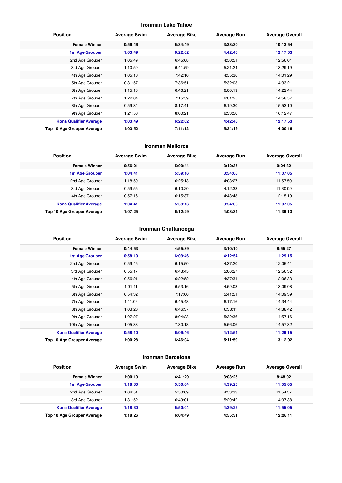#### **Ironman Lake Tahoe**

| <b>Position</b>               | <b>Average Swim</b> | <b>Average Bike</b> | <b>Average Run</b> | <b>Average Overall</b> |
|-------------------------------|---------------------|---------------------|--------------------|------------------------|
| <b>Female Winner</b>          | 0:59:46             | 5:34:49             | 3:33:30            | 10:13:54               |
| <b>1st Age Grouper</b>        | 1:03:49             | 6:22:02             | 4:42:46            | 12:17:53               |
| 2nd Age Grouper               | 1:05:49             | 6:45:08             | 4:50:51            | 12:56:01               |
| 3rd Age Grouper               | 1:10:59             | 6:41:59             | 5:21:24            | 13:29:19               |
| 4th Age Grouper               | 1:05:10             | 7:42:16             | 4:55:36            | 14:01:29               |
| 5th Age Grouper               | 0:31:57             | 7:36:51             | 5:32:03            | 14:33:21               |
| 6th Age Grouper               | 1:15:18             | 6:46:21             | 6:00:19            | 14:22:44               |
| 7th Age Grouper               | 1:22:04             | 7:15:59             | 6:01:25            | 14:58:57               |
| 8th Age Grouper               | 0:59:34             | 8:17:41             | 6:19:30            | 15:53:10               |
| 9th Age Grouper               | 1:21:50             | 8:00:21             | 6:33:50            | 16:12:47               |
| <b>Kona Qualifier Average</b> | 1:03:49             | 6:22:02             | 4:42:46            | 12:17:53               |
| Top 10 Age Grouper Average    | 1:03:52             | 7:11:12             | 5:24:19            | 14:00:16               |

#### **Ironman Mallorca**

| <b>Position</b>               | <b>Average Swim</b> | <b>Average Bike</b> | <b>Average Run</b> | <b>Average Overall</b> |
|-------------------------------|---------------------|---------------------|--------------------|------------------------|
| <b>Female Winner</b>          | 0:56:21             | 5:09:44             | 3:12:35            | 9:24:32                |
| <b>1st Age Grouper</b>        | 1:04:41             | 5:59:16             | 3:54:06            | 11:07:05               |
| 2nd Age Grouper               | 1:18:59             | 6:25:13             | 4:03:27            | 11:57:50               |
| 3rd Age Grouper               | 0:59:55             | 6:10:20             | 4:12:33            | 11:30:09               |
| 4th Age Grouper               | 0:57:16             | 6:15:37             | 4:43:48            | 12:15:19               |
| <b>Kona Qualifier Average</b> | 1:04:41             | 5:59:16             | 3:54:06            | 11:07:05               |
| Top 10 Age Grouper Average    | 1:07:25             | 6:12:29             | 4:08:34            | 11:39:13               |

#### **Ironman Chattanooga**

| <b>Position</b>               | <b>Average Swim</b> | <b>Average Bike</b> | <b>Average Run</b> | <b>Average Overall</b> |
|-------------------------------|---------------------|---------------------|--------------------|------------------------|
| <b>Female Winner</b>          | 0:44:53             | 4:55:39             | 3:10:10            | 8:55:27                |
| <b>1st Age Grouper</b>        | 0:58:10             | 6:09:46             | 4:12:54            | 11:29:15               |
| 2nd Age Grouper               | 0:59:45             | 6:15:50             | 4:37:20            | 12:05:41               |
| 3rd Age Grouper               | 0:55:17             | 6:43:45             | 5:06:27            | 12:56:32               |
| 4th Age Grouper               | 0:56:21             | 6:22:52             | 4:37:31            | 12:06:33               |
| 5th Age Grouper               | 1:01:11             | 6:53:16             | 4:59:03            | 13:09:08               |
| 6th Age Grouper               | 0:54:32             | 7:17:00             | 5:41:51            | 14:09:39               |
| 7th Age Grouper               | 1:11:06             | 6:45:48             | 6:17:16            | 14:34:44               |
| 8th Age Grouper               | 1:03:26             | 6:46:37             | 6:38:11            | 14:38:42               |
| 9th Age Grouper               | 1:07:27             | 8:04:23             | 5:32:36            | 14:57:16               |
| 10th Age Grouper              | 1:05:38             | 7:30:18             | 5:56:06            | 14:57:32               |
| <b>Kona Qualifier Average</b> | 0:58:10             | 6:09:46             | 4:12:54            | 11:29:15               |
| Top 10 Age Grouper Average    | 1:00:28             | 6:46:04             | 5:11:59            | 13:12:02               |

#### **Ironman Barcelona**

| <b>Position</b>               | <b>Average Swim</b> | <b>Average Bike</b> | <b>Average Run</b> | <b>Average Overall</b> |
|-------------------------------|---------------------|---------------------|--------------------|------------------------|
| <b>Female Winner</b>          | 1:00:19             | 4:41:29             | 3:03:25            | 8:48:02                |
| <b>1st Age Grouper</b>        | 1:18:30             | 5:50:04             | 4:39:25            | 11:55:05               |
| 2nd Age Grouper               | 1:04:51             | 5:50:09             | 4:53:33            | 11:54:57               |
| 3rd Age Grouper               | 1:31:52             | 6:49:01             | 5:29:42            | 14:07:38               |
| <b>Kona Qualifier Average</b> | 1:18:30             | 5:50:04             | 4:39:25            | 11:55:05               |
| Top 10 Age Grouper Average    | 1:18:26             | 6:04:49             | 4:55:31            | 12:28:11               |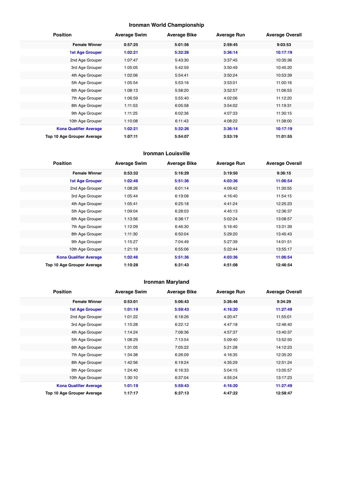## **Ironman World Championship**

| <b>Position</b>               | <b>Average Swim</b> | <b>Average Bike</b> | <b>Average Run</b> | <b>Average Overall</b> |
|-------------------------------|---------------------|---------------------|--------------------|------------------------|
| <b>Female Winner</b>          | 0:57:25             | 5:01:56             | 2:59:45            | 9:03:53                |
| <b>1st Age Grouper</b>        | 1:02:21             | 5:32:26             | 3:36:14            | 10:17:19               |
| 2nd Age Grouper               | 1:07:47             | 5:43:30             | 3:37:45            | 10:35:36               |
| 3rd Age Grouper               | 1:05:05             | 5:42:59             | 3:50:49            | 10:45:20               |
| 4th Age Grouper               | 1:02:06             | 5:54:41             | 3:50:24            | 10:53:39               |
| 5th Age Grouper               | 1:05:54             | 5:53:16             | 3:53:01            | 11:00:16               |
| 6th Age Grouper               | 1:08:13             | 5:58:20             | 3:52:57            | 11:06:53               |
| 7th Age Grouper               | 1:06:59             | 5:55:40             | 4:02:06            | 11:12:20               |
| 8th Age Grouper               | 1:11:53             | 6:05:58             | 3:54:02            | 11:19:31               |
| 9th Age Grouper               | 1:11:25             | 6:02:36             | 4:07:33            | 11:30:15               |
| 10th Age Grouper              | 1:10:08             | 6:11:43             | 4:08:22            | 11:38:00               |
| <b>Kona Qualifier Average</b> | 1:02:21             | 5:32:26             | 3:36:14            | 10:17:19               |
| Top 10 Age Grouper Average    | 1:07:11             | 5:54:07             | 3:53:19            | 11:01:55               |

#### **Ironman Louisville**

| <b>Position</b>               | <b>Average Swim</b> | <b>Average Bike</b> | <b>Average Run</b> | <b>Average Overall</b> |
|-------------------------------|---------------------|---------------------|--------------------|------------------------|
| <b>Female Winner</b>          | 0:53:32             | 5:16:29             | 3:19:50            | 9:36:15                |
| <b>1st Age Grouper</b>        | 1:02:46             | 5:51:36             | 4:03:36            | 11:06:54               |
| 2nd Age Grouper               | 1:08:26             | 6:01:14             | 4:09:42            | 11:30:55               |
| 3rd Age Grouper               | 1:05:44             | 6:19:08             | 4:16:40            | 11:54:15               |
| 4th Age Grouper               | 1:05:41             | 6:25:18             | 4:41:24            | 12:25:23               |
| 5th Age Grouper               | 1:09:04             | 6:28:03             | 4:45:13            | 12:36:37               |
| 6th Age Grouper               | 1:13:56             | 6:38:17             | 5:02:24            | 13:08:57               |
| 7th Age Grouper               | 1:12:09             | 6:46:30             | 5:16:40            | 13:31:39               |
| 8th Age Grouper               | 1:11:30             | 6:50:04             | 5:29:20            | 13:45:43               |
| 9th Age Grouper               | 1:15:27             | 7:04:49             | 5:27:39            | 14:01:51               |
| 10th Age Grouper              | 1:21:19             | 6:55:06             | 5:22:44            | 13:55:17               |
| <b>Kona Qualifier Average</b> | 1:02:46             | 5:51:36             | 4:03:36            | 11:06:54               |
| Top 10 Age Grouper Average    | 1:10:28             | 6:31:43             | 4:51:08            | 12:46:54               |

## **Ironman Maryland**

| <b>Position</b>               | <b>Average Swim</b> | <b>Average Bike</b> | <b>Average Run</b> | <b>Average Overall</b> |
|-------------------------------|---------------------|---------------------|--------------------|------------------------|
| <b>Female Winner</b>          | 0:53:01             | 5:06:43             | 3:26:46            | 9:34:29                |
| <b>1st Age Grouper</b>        | 1:01:19             | 5:59:43             | 4:16:20            | 11:27:49               |
| 2nd Age Grouper               | 1:01:22             | 6:18:26             | 4:20:47            | 11:55:01               |
| 3rd Age Grouper               | 1:15:28             | 6:22:12             | 4:47:18            | 12:46:40               |
| 4th Age Grouper               | 1:14:24             | 7:08:36             | 4:57:37            | 13:40:37               |
| 5th Age Grouper               | 1:08:29             | 7:13:54             | 5:09:40            | 13:52:50               |
| 6th Age Grouper               | 1:31:05             | 7:05:22             | 5:21:28            | 14:12:23               |
| 7th Age Grouper               | 1:34:38             | 6:26:09             | 4:16:35            | 12:35:20               |
| 8th Age Grouper               | 1:42:56             | 6:19:24             | 4:35:29            | 12:51:24               |
| 9th Age Grouper               | 1:24:40             | 6:16:33             | 5:04:15            | 13:05:57               |
| 10th Age Grouper              | 1:30:10             | 6:37:04             | 4:55:24            | 13:17:23               |
| <b>Kona Qualifier Average</b> | 1:01:19             | 5:59:43             | 4:16:20            | 11:27:49               |
| Top 10 Age Grouper Average    | 1:17:17             | 6:37:13             | 4:47:22            | 12:58:47               |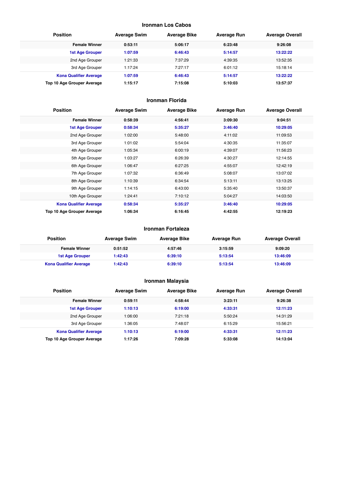#### **Ironman Los Cabos**

| <b>Position</b>               | <b>Average Swim</b> | <b>Average Bike</b> | <b>Average Run</b> | <b>Average Overall</b> |
|-------------------------------|---------------------|---------------------|--------------------|------------------------|
| <b>Female Winner</b>          | 0:53:11             | 5:06:17             | 6:23:48            | 9:26:08                |
| <b>1st Age Grouper</b>        | 1:07:59             | 6:46:43             | 5:14:57            | 13:22:22               |
| 2nd Age Grouper               | 1:21:33             | 7:37:29             | 4:39:35            | 13:52:35               |
| 3rd Age Grouper               | 1:17:24             | 7:27:17             | 6:01:12            | 15:18:14               |
| <b>Kona Qualifier Average</b> | 1:07:59             | 6:46:43             | 5:14:57            | 13:22:22               |
| Top 10 Age Grouper Average    | 1:15:17             | 7:15:08             | 5:10:03            | 13:57:37               |

#### **Ironman Florida**

| <b>Position</b>               | <b>Average Swim</b> | <b>Average Bike</b> | <b>Average Run</b> | <b>Average Overall</b> |
|-------------------------------|---------------------|---------------------|--------------------|------------------------|
| <b>Female Winner</b>          | 0:58:39             | 4:56:41             | 3:09:30            | 9:04:51                |
| <b>1st Age Grouper</b>        | 0:58:34             | 5:35:27             | 3:46:40            | 10:29:05               |
| 2nd Age Grouper               | 1:02:00             | 5:48:00             | 4:11:02            | 11:09:53               |
| 3rd Age Grouper               | 1:01:02             | 5:54:04             | 4:30:35            | 11:35:07               |
| 4th Age Grouper               | 1:05:34             | 6:00:19             | 4:39:07            | 11:56:23               |
| 5th Age Grouper               | 1:03:27             | 6:26:39             | 4:30:27            | 12:14:55               |
| 6th Age Grouper               | 1:06:47             | 6:27:25             | 4:55:07            | 12:42:19               |
| 7th Age Grouper               | 1:07:32             | 6:36:49             | 5:08:07            | 13:07:02               |
| 8th Age Grouper               | 1:10:39             | 6:34:54             | 5:13:11            | 13:13:25               |
| 9th Age Grouper               | 1:14:15             | 6:43:00             | 5:35:40            | 13:50:37               |
| 10th Age Grouper              | 1:24:41             | 7:10:12             | 5:04:27            | 14:03:50               |
| <b>Kona Qualifier Average</b> | 0:58:34             | 5:35:27             | 3:46:40            | 10:29:05               |
| Top 10 Age Grouper Average    | 1:06:34             | 6:16:45             | 4:42:55            | 12:19:23               |

#### **Ironman Fortaleza**

| <b>Position</b>               | <b>Average Swim</b> | <b>Average Bike</b> | Average Run | <b>Average Overall</b> |
|-------------------------------|---------------------|---------------------|-------------|------------------------|
| <b>Female Winner</b>          | 0:51:52             | 4:57:46             | 3:15:59     | 9:09:20                |
| 1st Age Grouper               | 1:42:43             | 6:39:10             | 5:13:54     | 13:46:09               |
| <b>Kona Qualifier Average</b> | 1:42:43             | 6:39:10             | 5:13:54     | 13:46:09               |

## **Ironman Malaysia**

| <b>Position</b>               | <b>Average Swim</b> | <b>Average Bike</b> | <b>Average Run</b> | <b>Average Overall</b> |
|-------------------------------|---------------------|---------------------|--------------------|------------------------|
| <b>Female Winner</b>          | 0:59:11             | 4:58:44             | 3:23:11            | 9:26:38                |
| <b>1st Age Grouper</b>        | 1:10:13             | 6:19:00             | 4:33:31            | 12:11:23               |
| 2nd Age Grouper               | 1:06:00             | 7:21:18             | 5:50:24            | 14:31:29               |
| 3rd Age Grouper               | 1:36:05             | 7:48:07             | 6:15:29            | 15:56:21               |
| <b>Kona Qualifier Average</b> | 1:10:13             | 6:19:00             | 4:33:31            | 12:11:23               |
| Top 10 Age Grouper Average    | 1:17:26             | 7:09:28             | 5:33:08            | 14:13:04               |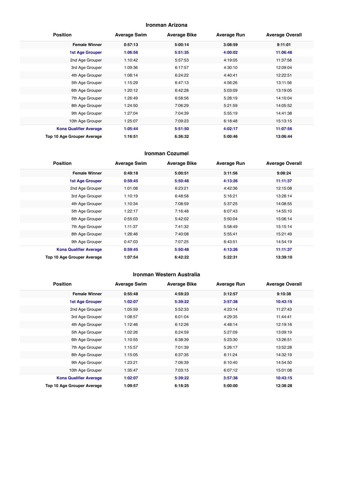#### **Ironman Arizona**

| <b>Position</b>               | <b>Average Swim</b> | <b>Average Bike</b> | <b>Average Run</b> | <b>Average Overall</b> |
|-------------------------------|---------------------|---------------------|--------------------|------------------------|
| <b>Female Winner</b>          | 0:57:13             | 5:00:14             | 3:08:59            | 9:11:01                |
| <b>1st Age Grouper</b>        | 1:06:56             | 5:51:35             | 4:00:02            | 11:06:48               |
| 2nd Age Grouper               | 1:10:42             | 5:57:53             | 4:19:05            | 11:37:58               |
| 3rd Age Grouper               | 1:09:36             | 6:17:57             | 4:30:10            | 12:09:04               |
| 4th Age Grouper               | 1:08:14             | 6:24:22             | 4:40:41            | 12:22:51               |
| 5th Age Grouper               | 1:15:29             | 6:47:13             | 4:56:26            | 13:11:56               |
| 6th Age Grouper               | 1:20:12             | 6:42:28             | 5:03:09            | 13:19:05               |
| 7th Age Grouper               | 1:26:49             | 6:58:56             | 5:28:19            | 14:10:04               |
| 8th Age Grouper               | 1:24:50             | 7:06:29             | 5:21:59            | 14:05:52               |
| 9th Age Grouper               | 1:27:04             | 7:04:39             | 5:55:19            | 14:41:38               |
| 10th Age Grouper              | 1:25:07             | 7:09:23             | 6:18:48            | 15:13:15               |
| <b>Kona Qualifier Average</b> | 1:05:44             | 5:51:50             | 4:02:17            | 11:07:56               |
| Top 10 Age Grouper Average    | 1:16:51             | 6:36:32             | 5:00:46            | 13:06:44               |

#### **Ironman Cozumel**

| <b>Position</b>               | <b>Average Swim</b> | <b>Average Bike</b> | <b>Average Run</b> | <b>Average Overall</b> |
|-------------------------------|---------------------|---------------------|--------------------|------------------------|
| <b>Female Winner</b>          | 0:49:18             | 5:00:51             | 3:11:56            | 9:08:24                |
| 1st Age Grouper               | 0:59:45             | 5:50:48             | 4:13:26            | 11:11:37               |
| 2nd Age Grouper               | 1:01:08             | 6:23:21             | 4:42:36            | 12:15:08               |
| 3rd Age Grouper               | 1:10:19             | 6:48:58             | 5:16:21            | 13:28:14               |
| 4th Age Grouper               | 1:10:34             | 7:08:59             | 5:37:25            | 14:08:55               |
| 5th Age Grouper               | 1:22:17             | 7:16:48             | 6:07:43            | 14:55:10               |
| 6th Age Grouper               | 0:55:03             | 5:42:02             | 5:50:04            | 15:06:14               |
| 7th Age Grouper               | 1:11:37             | 7:41:32             | 5:58:49            | 15:15:14               |
| 8th Age Grouper               | 1:26:46             | 7:40:08             | 5:55:41            | 15:21:49               |
| 9th Age Grouper               | 0:47:03             | 7:07:25             | 6:43:51            | 14:54:19               |
| <b>Kona Qualifier Average</b> | 0:59:45             | 5:50:48             | 4:13:26            | 11:11:37               |
| Top 10 Age Grouper Average    | 1:07:54             | 6:42:22             | 5:22:31            | 13:39:10               |

## **Ironman Western Australia**

| <b>Position</b>               | <b>Average Swim</b> | <b>Average Bike</b> | <b>Average Run</b> | <b>Average Overall</b> |
|-------------------------------|---------------------|---------------------|--------------------|------------------------|
| <b>Female Winner</b>          | 0:55:48             | 4:59:23             | 3:12:57            | 9:10:38                |
| <b>1st Age Grouper</b>        | 1:02:07             | 5:39:22             | 3:57:38            | 10:43:15               |
| 2nd Age Grouper               | 1:05:59             | 5:52:33             | 4:23:14            | 11:27:43               |
| 3rd Age Grouper               | 1:08:57             | 6:01:04             | 4:29:35            | 11:44:41               |
| 4th Age Grouper               | 1:12:46             | 6:12:26             | 4:48:14            | 12:19:16               |
| 5th Age Grouper               | 1:02:26             | 6:24:59             | 5:27:09            | 13:09:19               |
| 6th Age Grouper               | 1:10:55             | 6:38:39             | 5:23:30            | 13:26:51               |
| 7th Age Grouper               | 1:15:57             | 7:01:39             | 5:26:17            | 13:52:28               |
| 8th Age Grouper               | 1:15:05             | 6:37:35             | 6:11:24            | 14:32:19               |
| 9th Age Grouper               | 1:23:21             | 7:06:39             | 6:10:40            | 14:54:50               |
| 10th Age Grouper              | 1:35:47             | 7:03:15             | 6:07:12            | 15:01:08               |
| <b>Kona Qualifier Average</b> | 1:02:07             | 5:39:22             | 3:57:38            | 10:43:15               |
| Top 10 Age Grouper Average    | 1:09:57             | 6:18:25             | 5:00:00            | 12:38:28               |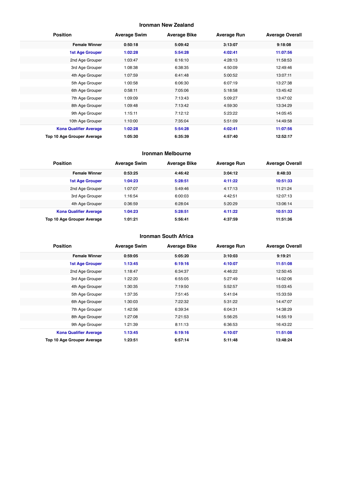#### **Ironman New Zealand**

| <b>Position</b>               | <b>Average Swim</b> | <b>Average Bike</b> | <b>Average Run</b> | <b>Average Overall</b> |
|-------------------------------|---------------------|---------------------|--------------------|------------------------|
| <b>Female Winner</b>          | 0:50:18             | 5:09:42             | 3:13:07            | 9:18:08                |
| 1st Age Grouper               | 1:02:28             | 5:54:28             | 4:02:41            | 11:07:56               |
| 2nd Age Grouper               | 1:03:47             | 6:16:10             | 4:28:13            | 11:58:53               |
| 3rd Age Grouper               | 1:08:38             | 6:38:35             | 4:50:09            | 12:49:46               |
| 4th Age Grouper               | 1:07:59             | 6:41:48             | 5:00:52            | 13:07:11               |
| 5th Age Grouper               | 1:00:58             | 6:06:30             | 6:07:19            | 13:27:38               |
| 6th Age Grouper               | 0:58:11             | 7:05:06             | 5:18:58            | 13:45:42               |
| 7th Age Grouper               | 1:09:09             | 7:13:43             | 5:09:27            | 13:47:02               |
| 8th Age Grouper               | 1:09:48             | 7:13:42             | 4:59:30            | 13:34:29               |
| 9th Age Grouper               | 1:15:11             | 7:12:12             | 5:23:22            | 14:05:45               |
| 10th Age Grouper              | 1:10:00             | 7:35:04             | 5:51:09            | 14:49:58               |
| <b>Kona Qualifier Average</b> | 1:02:28             | 5:54:28             | 4:02:41            | 11:07:56               |
| Top 10 Age Grouper Average    | 1:05:30             | 6:35:39             | 4:57:40            | 12:52:17               |

#### **Ironman Melbourne**

| <b>Position</b>                   | <b>Average Swim</b> | <b>Average Bike</b> | <b>Average Run</b> | <b>Average Overall</b> |
|-----------------------------------|---------------------|---------------------|--------------------|------------------------|
| <b>Female Winner</b>              | 0:53:25             | 4:46:42             | 3:04:12            | 8:48:33                |
| <b>1st Age Grouper</b>            | 1:04:23             | 5:28:51             | 4:11:22            | 10:51:33               |
| 2nd Age Grouper                   | 1:07:07             | 5:49:46             | 4:17:13            | 11:21:24               |
| 3rd Age Grouper                   | 1:16:54             | 6:00:03             | 4:42:51            | 12:07:13               |
| 4th Age Grouper                   | 0:36:59             | 6:28:04             | 5:20:29            | 13:06:14               |
| <b>Kona Qualifier Average</b>     | 1:04:23             | 5:28:51             | 4:11:22            | 10:51:33               |
| <b>Top 10 Age Grouper Average</b> | 1:01:21             | 5:56:41             | 4:37:59            | 11:51:36               |

#### **Ironman South Africa**

| <b>Position</b>               | <b>Average Swim</b> | <b>Average Bike</b> | <b>Average Run</b> | <b>Average Overall</b> |
|-------------------------------|---------------------|---------------------|--------------------|------------------------|
| <b>Female Winner</b>          | 0:59:05             | 5:05:20             | 3:10:03            | 9:19:21                |
| <b>1st Age Grouper</b>        | 1:13:45             | 6:19:16             | 4:10:07            | 11:51:08               |
| 2nd Age Grouper               | 1:18:47             | 6:34:37             | 4:46:22            | 12:50:45               |
| 3rd Age Grouper               | 1:22:20             | 6:55:05             | 5:27:49            | 14:02:06               |
| 4th Age Grouper               | 1:30:35             | 7:19:50             | 5:52:57            | 15:03:45               |
| 5th Age Grouper               | 1:37:35             | 7:51:45             | 5:41:04            | 15:33:59               |
| 6th Age Grouper               | 1:30:03             | 7:22:32             | 5:31:22            | 14:47:07               |
| 7th Age Grouper               | 1:42:56             | 6:39:34             | 6:04:31            | 14:38:29               |
| 8th Age Grouper               | 1:27:08             | 7:21:53             | 5:56:25            | 14:55:19               |
| 9th Age Grouper               | 1:21:39             | 8:11:13             | 6:36:53            | 16:43:22               |
| <b>Kona Qualifier Average</b> | 1:13:45             | 6:19:16             | 4:10:07            | 11:51:08               |
| Top 10 Age Grouper Average    | 1:23:51             | 6:57:14             | 5:11:48            | 13:48:24               |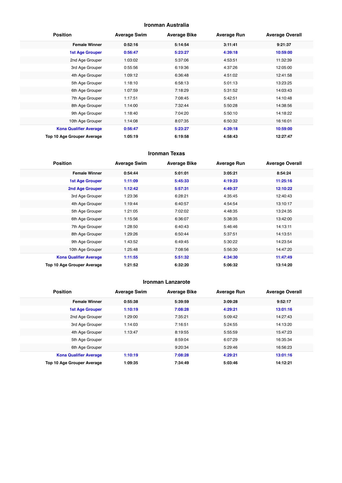#### **Ironman Australia**

| <b>Position</b>               | <b>Average Swim</b> | <b>Average Bike</b> | <b>Average Run</b> | <b>Average Overall</b> |
|-------------------------------|---------------------|---------------------|--------------------|------------------------|
| <b>Female Winner</b>          | 0:52:16             | 5:14:54             | 3:11:41            | 9:21:37                |
| <b>1st Age Grouper</b>        | 0:56:47             | 5:23:27             | 4:39:18            | 10:59:00               |
| 2nd Age Grouper               | 1:03:02             | 5:37:06             | 4:53:51            | 11:32:39               |
| 3rd Age Grouper               | 0:55:56             | 6:19:36             | 4:37:26            | 12:05:00               |
| 4th Age Grouper               | 1:09:12             | 6:36:48             | 4:51:02            | 12:41:58               |
| 5th Age Grouper               | 1:18:10             | 6:58:13             | 5:01:13            | 13:23:25               |
| 6th Age Grouper               | 1:07:59             | 7:18:29             | 5:31:52            | 14:03:43               |
| 7th Age Grouper               | 1:17:51             | 7:08:45             | 5:42:51            | 14:10:48               |
| 8th Age Grouper               | 1:14:00             | 7:32:44             | 5:50:28            | 14:38:56               |
| 9th Age Grouper               | 1:18:40             | 7:04:20             | 5:50:10            | 14:18:22               |
| 10th Age Grouper              | 1:14:08             | 8:07:35             | 6:50:32            | 16:16:01               |
| <b>Kona Qualifier Average</b> | 0:56:47             | 5:23:27             | 4:39:18            | 10:59:00               |
| Top 10 Age Grouper Average    | 1:05:19             | 6:19:58             | 4:58:43            | 12:27:47               |

#### **Ironman Texas**

| <b>Position</b>               | <b>Average Swim</b> | <b>Average Bike</b> | <b>Average Run</b> | <b>Average Overall</b> |
|-------------------------------|---------------------|---------------------|--------------------|------------------------|
| <b>Female Winner</b>          | 0:54:44             | 5:01:01             | 3:05:21            | 8:54:24                |
| <b>1st Age Grouper</b>        | 1:11:09             | 5:45:33             | 4:19:23            | 11:25:16               |
| 2nd Age Grouper               | 1:12:42             | 5:57:31             | 4:49:37            | 12:10:22               |
| 3rd Age Grouper               | 1:23:36             | 6:28:21             | 4:35:45            | 12:40:43               |
| 4th Age Grouper               | 1:19:44             | 6:40:57             | 4:54:54            | 13:10:17               |
| 5th Age Grouper               | 1:21:05             | 7:02:02             | 4:48:35            | 13:24:35               |
| 6th Age Grouper               | 1:15:56             | 6:36:07             | 5:38:35            | 13:42:00               |
| 7th Age Grouper               | 1:28:50             | 6:40:43             | 5:46:46            | 14:13:11               |
| 8th Age Grouper               | 1:29:26             | 6:50:44             | 5:37:51            | 14:13:51               |
| 9th Age Grouper               | 1:43:52             | 6:49:45             | 5:30:22            | 14:23:54               |
| 10th Age Grouper              | 1:25:48             | 7:08:56             | 5:56:30            | 14:47:20               |
| <b>Kona Qualifier Average</b> | 1:11:55             | 5:51:32             | 4:34:30            | 11:47:49               |
| Top 10 Age Grouper Average    | 1:21:52             | 6:32:20             | 5:06:32            | 13:14:20               |

#### **Ironman Lanzarote**

| <b>Position</b>               | <b>Average Swim</b> | <b>Average Bike</b> | <b>Average Run</b> | <b>Average Overall</b> |
|-------------------------------|---------------------|---------------------|--------------------|------------------------|
| <b>Female Winner</b>          | 0:55:38             | 5:39:59             | 3:09:28            | 9:52:17                |
| <b>1st Age Grouper</b>        | 1:10:19             | 7:08:28             | 4:29:21            | 13:01:16               |
| 2nd Age Grouper               | 1:29:00             | 7:35:21             | 5:09:42            | 14:27:43               |
| 3rd Age Grouper               | 1:14:03             | 7:16:51             | 5:24:55            | 14:13:20               |
| 4th Age Grouper               | 1:13:47             | 8:19:55             | 5:55:59            | 15:47:23               |
| 5th Age Grouper               |                     | 8:59:04             | 6:07:29            | 16:35:34               |
| 6th Age Grouper               |                     | 9:20:34             | 5:29:46            | 16:56:23               |
| <b>Kona Qualifier Average</b> | 1:10:19             | 7:08:28             | 4:29:21            | 13:01:16               |
| Top 10 Age Grouper Average    | 1:09:35             | 7:34:49             | 5:03:46            | 14:12:21               |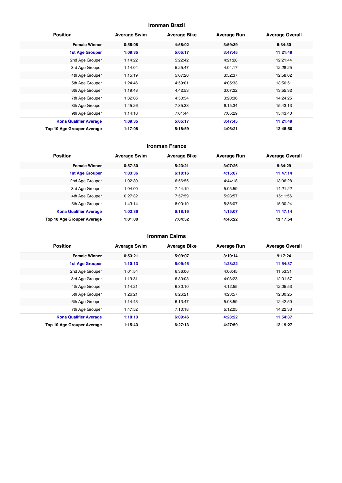#### **Ironman Brazil**

| <b>Position</b>               | <b>Average Swim</b> | <b>Average Bike</b> | <b>Average Run</b> | <b>Average Overall</b> |
|-------------------------------|---------------------|---------------------|--------------------|------------------------|
| <b>Female Winner</b>          | 0:56:08             | 4:58:02             | 3:59:39            | 9:34:30                |
| <b>1st Age Grouper</b>        | 1:09:35             | 5:05:17             | 3:47:45            | 11:21:49               |
| 2nd Age Grouper               | 1:14:22             | 5:22:42             | 4:21:28            | 12:21:44               |
| 3rd Age Grouper               | 1:14:04             | 5:25:47             | 4:04:17            | 12:28:25               |
| 4th Age Grouper               | 1:15:19             | 5:07:20             | 3:52:37            | 12:58:02               |
| 5th Age Grouper               | 1:24:46             | 4:59:01             | 4:05:33            | 13:50:51               |
| 6th Age Grouper               | 1:19:48             | 4:42:53             | 3:07:22            | 13:55:32               |
| 7th Age Grouper               | 1:32:06             | 4:50:54             | 3:20:36            | 14:24:25               |
| 8th Age Grouper               | 1:45:26             | 7:35:33             | 6:15:34            | 15:43:13               |
| 9th Age Grouper               | 1:14:18             | 7:01:44             | 7:05:29            | 15:43:40               |
| <b>Kona Qualifier Average</b> | 1:09:35             | 5:05:17             | 3:47:45            | 11:21:49               |
| Top 10 Age Grouper Average    | 1:17:08             | 5:18:59             | 4:06:21            | 12:48:50               |

#### **Ironman France**

| <b>Position</b>               | <b>Average Swim</b> | <b>Average Bike</b> | <b>Average Run</b> | <b>Average Overall</b> |
|-------------------------------|---------------------|---------------------|--------------------|------------------------|
| <b>Female Winner</b>          | 0:57:30             | 5:23:21             | 3:07:26            | 9:34:29                |
| 1st Age Grouper               | 1:03:36             | 6:18:16             | 4:15:07            | 11:47:14               |
| 2nd Age Grouper               | 1:02:30             | 6:56:55             | 4:44:18            | 13:06:28               |
| 3rd Age Grouper               | 1:04:00             | 7:44:19             | 5:05:59            | 14:21:22               |
| 4th Age Grouper               | 0:27:32             | 7:57:59             | 5:23:57            | 15:11:56               |
| 5th Age Grouper               | 1:43:14             | 8:00:19             | 5:36:07            | 15:30:24               |
| <b>Kona Qualifier Average</b> | 1:03:36             | 6:18:16             | 4:15:07            | 11:47:14               |
| Top 10 Age Grouper Average    | 1:01:00             | 7:04:52             | 4:46:22            | 13:17:54               |

#### **Ironman Cairns**

| <b>Position</b>               | <b>Average Swim</b> | <b>Average Bike</b> | <b>Average Run</b> | <b>Average Overall</b> |
|-------------------------------|---------------------|---------------------|--------------------|------------------------|
| <b>Female Winner</b>          | 0:53:21             | 5:09:07             | 3:10:14            | 9:17:24                |
| <b>1st Age Grouper</b>        | 1:10:13             | 6:09:46             | 4:28:22            | 11:54:37               |
| 2nd Age Grouper               | 1:01:54             | 6:36:06             | 4:06:45            | 11:53:31               |
| 3rd Age Grouper               | 1:19:31             | 6:30:03             | 4:03:23            | 12:01:57               |
| 4th Age Grouper               | 1:14:21             | 6:30:10             | 4:12:55            | 12:05:53               |
| 5th Age Grouper               | 1:26:21             | 6:26:21             | 4:23:57            | 12:30:25               |
| 6th Age Grouper               | 1:14:43             | 6:13:47             | 5:08:59            | 12:42:50               |
| 7th Age Grouper               | 1:47:52             | 7:10:18             | 5:12:05            | 14:22:33               |
| <b>Kona Qualifier Average</b> | 1:10:13             | 6:09:46             | 4:28:22            | 11:54:37               |
| Top 10 Age Grouper Average    | 1:15:43             | 6:27:13             | 4:27:59            | 12:19:27               |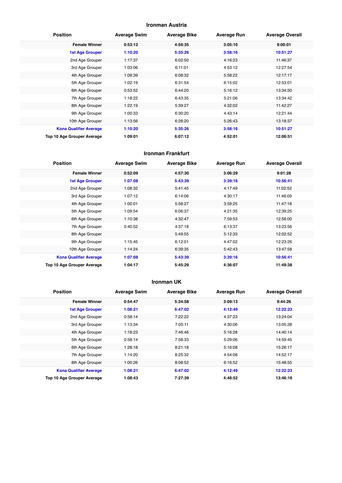#### **Ironman Austria**

| <b>Position</b>               | <b>Average Swim</b> | <b>Average Bike</b> | <b>Average Run</b> | <b>Average Overall</b> |
|-------------------------------|---------------------|---------------------|--------------------|------------------------|
| <b>Female Winner</b>          | 0:53:12             | 4:56:35             | 3:05:10            | 9:00:01                |
| <b>1st Age Grouper</b>        | 1:10:20             | 5:35:26             | 3:58:16            | 10:51:27               |
| 2nd Age Grouper               | 1:17:37             | 6:02:50             | 4:16:23            | 11:46:37               |
| 3rd Age Grouper               | 1:03:06             | 6:11:01             | 4:53:12            | 12:27:54               |
| 4th Age Grouper               | 1:09:39             | 6:08:32             | 5:58:22            | 12:17:17               |
| 5th Age Grouper               | 1:02:19             | 6:31:54             | 6:15:02            | 12:53:01               |
| 6th Age Grouper               | 0:53:52             | 6:44:20             | 5:16:12            | 13:34:50               |
| 7th Age Grouper               | 1:18:22             | 6:43:35             | 5:21:06            | 13:34:42               |
| 8th Age Grouper               | 1:22:19             | 5:39:27             | 4:32:02            | 11:42:27               |
| 9th Age Grouper               | 1:00:33             | 6:30:20             | 4:43:14            | 12:21:44               |
| 10th Age Grouper              | 1:13:56             | 6:26:20             | 5:26:43            | 13:18:37               |
| <b>Kona Qualifier Average</b> | 1:10:20             | 5:35:26             | 3:58:16            | 10:51:27               |
| Top 10 Age Grouper Average    | 1:09:01             | 6:07:12             | 4:52:01            | 12:06:51               |

#### **Ironman Frankfurt**

| <b>Position</b>               | <b>Average Swim</b> | <b>Average Bike</b> | <b>Average Run</b> | <b>Average Overall</b> |
|-------------------------------|---------------------|---------------------|--------------------|------------------------|
| <b>Female Winner</b>          | 0:52:09             | 4:57:30             | 3:06:29            | 9:01:28                |
| <b>1st Age Grouper</b>        | 1:07:08             | 5:43:39             | 3:39:16            | 10:56:41               |
| 2nd Age Grouper               | 1:08:32             | 5:41:45             | 4:17:49            | 11:02:52               |
| 3rd Age Grouper               | 1:07:12             | 6:14:06             | 4:30:17            | 11:46:09               |
| 4th Age Grouper               | 1:00:01             | 5:58:27             | 3:59:25            | 11:47:18               |
| 5th Age Grouper               | 1:09:54             | 6:06:37             | 4:21:35            | 12:39:25               |
| 6th Age Grouper               | 1:10:38             | 4:32:47             | 7:59:53            | 12:56:00               |
| 7th Age Grouper               | 0:40:52             | 4:37:18             | 6:13:37            | 13:23:56               |
| 8th Age Grouper               |                     | 5:49:55             | 5:12:33            | 12:02:52               |
| 9th Age Grouper               | 1:15:45             | 6:12:01             | 4:47:02            | 12:23:26               |
| 10th Age Grouper              | 1:14:24             | 6:39:35             | 5:42:43            | 13:47:58               |
| <b>Kona Qualifier Average</b> | 1:07:08             | 5:43:39             | 3:39:16            | 10:56:41               |
| Top 10 Age Grouper Average    | 1:04:17             | 5:45:29             | 4:36:07            | 11:49:38               |

#### **Ironman UK**

| <b>Position</b>               | <b>Average Swim</b> | <b>Average Bike</b> | <b>Average Run</b> | <b>Average Overall</b> |
|-------------------------------|---------------------|---------------------|--------------------|------------------------|
| <b>Female Winner</b>          | 0:54:47             | 5:34:58             | 3:09:13            | 9:44:26                |
| <b>1st Age Grouper</b>        | 1:08:21             | 6:47:02             | 4:12:49            | 12:22:23               |
| 2nd Age Grouper               | 0:58:14             | 7:22:22             | 4:37:23            | 13:24:04               |
| 3rd Age Grouper               | 1:13:34             | 7:05:11             | 4:30:06            | 13:05:28               |
| 4th Age Grouper               | 1:18:23             | 7:46:46             | 5:16:28            | 14:40:14               |
| 5th Age Grouper               | 0:58:14             | 7:58:33             | 5:29:06            | 14:59:45               |
| 6th Age Grouper               | 1:28:18             | 8:21:18             | 5:16:08            | 15:26:17               |
| 7th Age Grouper               | 1:14:20             | 8:25:32             | 4:54:08            | 14:52:17               |
| 8th Age Grouper               | 1:00:26             | 8:08:52             | 6:16:52            | 15:48:55               |
| <b>Kona Qualifier Average</b> | 1:08:21             | 6:47:02             | 4:12:49            | 12:22:23               |
| Top 10 Age Grouper Average    | 1:08:43             | 7:27:39             | 4:48:52            | 13:46:16               |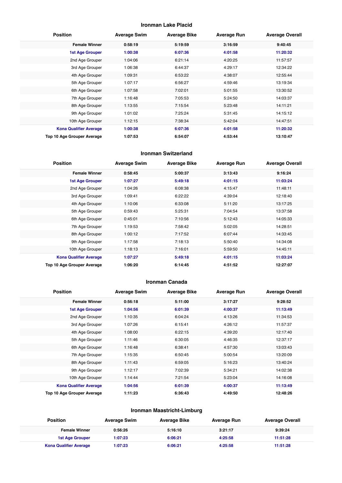#### **Ironman Lake Placid**

| <b>Position</b>               | <b>Average Swim</b> | <b>Average Bike</b> | <b>Average Run</b> | <b>Average Overall</b> |
|-------------------------------|---------------------|---------------------|--------------------|------------------------|
| <b>Female Winner</b>          | 0:58:19             | 5:19:59             | 3:16:59            | 9:40:45                |
| <b>1st Age Grouper</b>        | 1:00:38             | 6:07:36             | 4:01:58            | 11:20:32               |
| 2nd Age Grouper               | 1:04:06             | 6:21:14             | 4:20:25            | 11:57:57               |
| 3rd Age Grouper               | 1:06:38             | 6:44:37             | 4:29:17            | 12:34:22               |
| 4th Age Grouper               | 1:09:31             | 6:53:22             | 4:38:07            | 12:55:44               |
| 5th Age Grouper               | 1:07:17             | 6:56:27             | 4:59:46            | 13:19:34               |
| 6th Age Grouper               | 1:07:58             | 7:02:01             | 5:01:55            | 13:30:52               |
| 7th Age Grouper               | 1:16:48             | 7:05:53             | 5:24:50            | 14:03:37               |
| 8th Age Grouper               | 1:13:55             | 7:15:54             | 5:23:48            | 14:11:21               |
| 9th Age Grouper               | 1:01:02             | 7:25:24             | 5:31:45            | 14:15:12               |
| 10th Age Grouper              | 1:12:15             | 7:38:34             | 5:42:04            | 14:47:51               |
| <b>Kona Qualifier Average</b> | 1:00:38             | 6:07:36             | 4:01:58            | 11:20:32               |
| Top 10 Age Grouper Average    | 1:07:53             | 6:54:07             | 4:53:44            | 13:10:47               |

#### **Ironman Switzerland**

| <b>Position</b>               | <b>Average Swim</b> | <b>Average Bike</b> | <b>Average Run</b> | <b>Average Overall</b> |
|-------------------------------|---------------------|---------------------|--------------------|------------------------|
| <b>Female Winner</b>          | 0:58:45             | 5:00:37             | 3:13:43            | 9:16:24                |
| <b>1st Age Grouper</b>        | 1:07:27             | 5:49:18             | 4:01:15            | 11:03:24               |
| 2nd Age Grouper               | 1:04:26             | 6:08:38             | 4:15:47            | 11:48:11               |
| 3rd Age Grouper               | 1:09:41             | 6:22:22             | 4:39:04            | 12:18:40               |
| 4th Age Grouper               | 1:10:06             | 6:33:08             | 5:11:20            | 13:17:25               |
| 5th Age Grouper               | 0:59:43             | 5:25:31             | 7:04:54            | 13:37:58               |
| 6th Age Grouper               | 0:45:01             | 7:10:56             | 5:12:43            | 14:05:33               |
| 7th Age Grouper               | 1:19:53             | 7:58:42             | 5:02:05            | 14:28:51               |
| 8th Age Grouper               | 1:00:12             | 7:17:52             | 6:07:44            | 14:33:45               |
| 9th Age Grouper               | 1:17:58             | 7:18:13             | 5:50:40            | 14:34:08               |
| 10th Age Grouper              | 1:18:13             | 7:16:01             | 5:59:50            | 14:45:11               |
| <b>Kona Qualifier Average</b> | 1:07:27             | 5:49:18             | 4:01:15            | 11:03:24               |
| Top 10 Age Grouper Average    | 1:06:20             | 6:14:45             | 4:51:52            | 12:27:07               |

#### **Ironman Canada**

| <b>Position</b>               | <b>Average Swim</b> | <b>Average Bike</b> | <b>Average Run</b> | <b>Average Overall</b> |
|-------------------------------|---------------------|---------------------|--------------------|------------------------|
| <b>Female Winner</b>          | 0:56:18             | 5:11:00             | 3:17:27            | 9:28:52                |
| <b>1st Age Grouper</b>        | 1:04:56             | 6:01:39             | 4:00:37            | 11:13:49               |
| 2nd Age Grouper               | 1:10:35             | 6:04:24             | 4:13:26            | 11:34:53               |
| 3rd Age Grouper               | 1:07:26             | 6:15:41             | 4:26:12            | 11:57:37               |
| 4th Age Grouper               | 1:08:00             | 6:22:15             | 4:39:20            | 12:17:40               |
| 5th Age Grouper               | 1:11:46             | 6:30:05             | 4:46:35            | 12:37:17               |
| 6th Age Grouper               | 1:16:48             | 6:38:41             | 4:57:30            | 13:03:43               |
| 7th Age Grouper               | 1:15:35             | 6:50:45             | 5:00:54            | 13:20:09               |
| 8th Age Grouper               | 1:11:43             | 6:59:05             | 5:16:23            | 13:40:24               |
| 9th Age Grouper               | 1:12:17             | 7:02:39             | 5:34:21            | 14:02:38               |
| 10th Age Grouper              | 1:14:44             | 7:21:54             | 5:23:04            | 14:16:08               |
| <b>Kona Qualifier Average</b> | 1:04:56             | 6:01:39             | 4:00:37            | 11:13:49               |
| Top 10 Age Grouper Average    | 1:11:23             | 6:36:43             | 4:49:50            | 12:48:26               |

#### **Ironman Maastricht-Limburg**

| <b>Position</b>               | <b>Average Swim</b> | <b>Average Bike</b> | <b>Average Run</b> | <b>Average Overall</b> |
|-------------------------------|---------------------|---------------------|--------------------|------------------------|
| <b>Female Winner</b>          | 0:56:26             | 5:16:10             | 3:21:17            | 9:39:24                |
| 1st Age Grouper               | 1:07:23             | 6:06:21             | 4:25:58            | 11:51:28               |
| <b>Kona Qualifier Average</b> | 1:07:23             | 6:06:21             | 4:25:58            | 11:51:28               |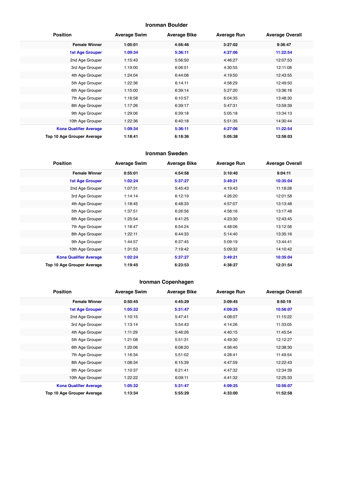#### **Ironman Boulder**

| <b>Position</b>               | <b>Average Swim</b> | <b>Average Bike</b> | <b>Average Run</b> | <b>Average Overall</b> |
|-------------------------------|---------------------|---------------------|--------------------|------------------------|
| <b>Female Winner</b>          | 1:05:01             | 4:56:46             | 3:27:02            | 9:36:47                |
| 1st Age Grouper               | 1:09:34             | 5:36:11             | 4:27:06            | 11:22:54               |
| 2nd Age Grouper               | 1:15:43             | 5:56:50             | 4:46:27            | 12:07:53               |
| 3rd Age Grouper               | 1:19:00             | 6:06:51             | 4:30:55            | 12:11:08               |
| 4th Age Grouper               | 1:24:04             | 6:44:08             | 4:19:50            | 12:43:55               |
| 5th Age Grouper               | 1:22:36             | 6:14:11             | 4:58:29            | 12:49:50               |
| 6th Age Grouper               | 1:15:00             | 6:39:14             | 5:27:20            | 13:36:16               |
| 7th Age Grouper               | 1:18:58             | 6:10:57             | 6:04:35            | 13:48:30               |
| 8th Age Grouper               | 1:17:26             | 6:39:17             | 5:47:31            | 13:59:39               |
| 9th Age Grouper               | 1:29:06             | 6:39:18             | 5:05:18            | 13:34:13               |
| 10th Age Grouper              | 1:22:36             | 6:40:18             | 5:51:35            | 14:30:44               |
| <b>Kona Qualifier Average</b> | 1:09:34             | 5:36:11             | 4:27:06            | 11:22:54               |
| Top 10 Age Grouper Average    | 1:18:41             | 6:18:36             | 5:05:38            | 12:58:03               |

#### **Ironman Sweden**

| <b>Position</b>               | <b>Average Swim</b> | <b>Average Bike</b> | <b>Average Run</b> | <b>Average Overall</b> |
|-------------------------------|---------------------|---------------------|--------------------|------------------------|
| <b>Female Winner</b>          | 0:55:01             | 4:54:58             | 3:10:40            | 9:04:11                |
| <b>1st Age Grouper</b>        | 1:02:24             | 5:37:27             | 3:49:21            | 10:35:04               |
| 2nd Age Grouper               | 1:07:31             | 5:45:43             | 4:19:43            | 11:18:28               |
| 3rd Age Grouper               | 1:14:14             | 6:12:19             | 4:26:20            | 12:01:58               |
| 4th Age Grouper               | 1:18:45             | 6:48:33             | 4:57:07            | 13:13:48               |
| 5th Age Grouper               | 1:37:51             | 6:26:56             | 4:58:16            | 13:17:48               |
| 6th Age Grouper               | 1:25:54             | 6:41:25             | 4:23:30            | 12:43:45               |
| 7th Age Grouper               | 1:18:47             | 6:54:24             | 4:48:06            | 13:12:56               |
| 8th Age Grouper               | 1:22:11             | 6:44:33             | 5:14:40            | 13:35:16               |
| 9th Age Grouper               | 1:44:57             | 6:37:45             | 5:09:19            | 13:44:41               |
| 10th Age Grouper              | 1:31:53             | 7:19:42             | 5:09:32            | 14:10:42               |
| <b>Kona Qualifier Average</b> | 1:02:24             | 5:37:27             | 3:49:21            | 10:35:04               |
| Top 10 Age Grouper Average    | 1:19:45             | 6:23:53             | 4:38:27            | 12:31:54               |

## **Ironman Copenhagen**

| <b>Position</b>               | <b>Average Swim</b> | <b>Average Bike</b> | <b>Average Run</b> | <b>Average Overall</b> |
|-------------------------------|---------------------|---------------------|--------------------|------------------------|
| <b>Female Winner</b>          | 0:50:45             | 4:45:29             | 3:09:45            | 8:50:19                |
| <b>1st Age Grouper</b>        | 1:05:32             | 5:31:47             | 4:09:25            | 10:56:07               |
| 2nd Age Grouper               | 1:10:15             | 5:47:41             | 4:08:07            | 11:15:22               |
| 3rd Age Grouper               | 1:13:14             | 5:54:43             | 4:14:26            | 11:33:05               |
| 4th Age Grouper               | 1:11:29             | 5:46:26             | 4:40:15            | 11:45:54               |
| 5th Age Grouper               | 1:21:08             | 5:51:31             | 4:49:30            | 12:12:27               |
| 6th Age Grouper               | 1:20:06             | 6:08:20             | 4:56:40            | 12:38:30               |
| 7th Age Grouper               | 1:16:34             | 5:51:02             | 4:28:41            | 11:49:54               |
| 8th Age Grouper               | 1:08:34             | 6:15:39             | 4:47:59            | 12:22:43               |
| 9th Age Grouper               | 1:10:37             | 6:21:41             | 4:47:32            | 12:34:39               |
| 10th Age Grouper              | 1:22:22             | 6:09:11             | 4:41:32            | 12:25:33               |
| <b>Kona Qualifier Average</b> | 1:05:32             | 5:31:47             | 4:09:25            | 10:56:07               |
| Top 10 Age Grouper Average    | 1:13:34             | 5:55:29             | 4:33:00            | 11:52:58               |